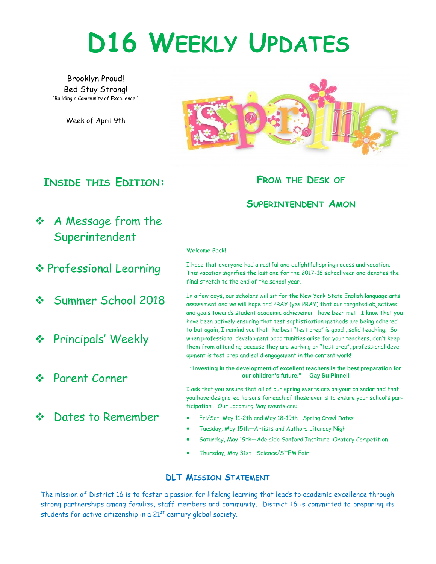# **D16 WEEKLY UPDATES**

Brooklyn Proud! Bed Stuy Strong! "Building a Community of Excellence!"

Week of April 9th

### **INSIDE THIS EDITION:**

- A Message from the Superintendent
- Professional Learning
- Summer School 2018
- **❖** Principals' Weekly
- Parent Corner
- ❖ Dates to Remember



#### **FROM THE DESK OF**

#### **SUPERINTENDENT AMON**

#### Welcome Back!

I hope that everyone had a restful and delightful spring recess and vacation. This vacation signifies the last one for the 2017-18 school year and denotes the final stretch to the end of the school year.

In a few days, our scholars will sit for the New York State English language arts assessment and we will hope and PRAY (yes PRAY) that our targeted objectives and goals towards student academic achievement have been met. I know that you have been actively ensuring that test sophistication methods are being adhered to but again, I remind you that the best "test prep" is good , solid teaching. So when professional development opportunities arise for your teachers, don't keep them from attending because they are working on "test prep", professional development is test prep and solid engagement in the content work!

**"Investing in the development of excellent teachers is the best preparation for our children's future." Gay Su Pinnell**

I ask that you ensure that all of our spring events are on your calendar and that you have designated liaisons for each of those events to ensure your school's participation.. Our upcoming May events are:

- Fri/Sat. May 11-2th and May 18-19th—Spring Crawl Dates
- Tuesday, May 15th—Artists and Authors Literacy Night
- Saturday, May 19th—Adelaide Sanford Institute Oratory Competition
- Thursday, May 31st—Science/STEM Fair

#### **DLT MISSION STATEMENT**

The mission of District 16 is to foster a passion for lifelong learning that leads to academic excellence through strong partnerships among families, staff members and community. District 16 is committed to preparing its students for active citizenship in a  $21<sup>st</sup>$  century global society.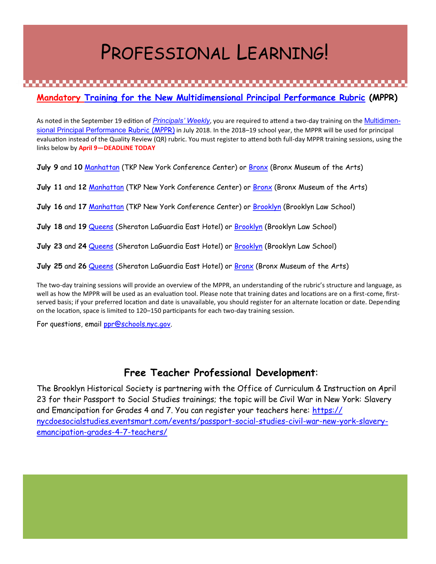### PROFESSIONAL LEARNING!

**Mandatory Training for the New Multidimensional Principal Performance Rubric (MPPR)**

As noted in the September 19 edition of *[Principals' Weekly](http://intranet.nycboe.net/NR/rdonlyres/938F0F09-9AAC-42A2-869D-9A08228C86B7/0/PW20170919final_updated.docx)*, you are required to attend a two-day training on the **[Multidimen](http://usny.nysed.gov/rttt/teachers-leaders/practicerubrics/Docs/MultidimensionalPrincipalPerformanceRubric.pdf)**[sional Principal Performance](http://usny.nysed.gov/rttt/teachers-leaders/practicerubrics/Docs/MultidimensionalPrincipalPerformanceRubric.pdf) Rubric (MPPR) in July 2018. In the 2018–19 school year, the MPPR will be used for principal evaluation instead of the Quality Review (QR) rubric. You must register to attend both full-day MPPR training sessions, using the links below by **April 9—DEADLINE TODAY**

**July 9** and **10** [Manhattan](https://www.eventbrite.com/e/mppr-summer-professional-development-for-principals-cohort-1-manhattan-july-910-registration-43758999345) (TKP New York Conference Center) or [Bronx](https://www.eventbrite.com/e/mppr-summer-professional-development-for-principals-cohort-2-bronx-july-910-registration-43985858888) (Bronx Museum of the Arts)

**July 11** and **12** [Manhattan](https://www.eventbrite.com/e/mppr-summer-professional-development-for-principals-cohort-3-manhattan-july-1112-tickets-43984932116) (TKP New York Conference Center) or [Bronx](https://www.eventbrite.com/e/mppr-summer-professional-development-for-principals-cohort-4-bronx-july-1112-registration-43986779642) (Bronx Museum of the Arts)

- **July 16** and **17** [Manhattan](https://www.eventbrite.com/e/mppr-summer-professional-development-for-principals-cohort-5-manhattan-july-1617-tickets-43985374439) (TKP New York Conference Center) or [Brooklyn](https://www.eventbrite.com/e/mppr-summer-professional-development-for-principals-cohort-6-brooklyn-july-1617-registration-43987223971) (Brooklyn Law School)
- **July 18** and **19** [Queens](https://www.eventbrite.com/e/mppr-summer-professional-development-for-principals-cohort-7-queens-july-1819-registration-43988229980) (Sheraton LaGuardia East Hotel) or [Brooklyn](https://www.eventbrite.com/e/mppr-summer-professional-development-for-principals-cohort-8-brooklyn-july-1819-registration-43988044425) (Brooklyn Law School)

**July 23** and **24** [Queens](https://www.eventbrite.com/e/mppr-summer-professional-development-for-principals-cohort-9-queens-july-2324-registration-43988855852) (Sheraton LaGuardia East Hotel) or [Brooklyn](https://www.eventbrite.com/e/mppr-summer-professional-development-for-principals-cohort-10-brooklyn-july-2324-registration-43988129680) (Brooklyn Law School)

**July 25** and **26** [Queens](https://www.eventbrite.com/e/mppr-summer-professional-development-for-principals-cohort-11-queens-july-2526-registration-43989069491) (Sheraton LaGuardia East Hotel) or [Bronx](https://www.eventbrite.com/e/mppr-summer-professional-development-for-principals-cohort-12-bronx-july-2526-registration-43987068506) (Bronx Museum of the Arts)

The two-day training sessions will provide an overview of the MPPR, an understanding of the rubric's structure and language, as well as how the MPPR will be used as an evaluation tool. Please note that training dates and locations are on a first-come, firstserved basis; if your preferred location and date is unavailable, you should register for an alternate location or date. Depending on the location, space is limited to 120–150 participants for each two-day training session.

For questions, email [ppr@schools.nyc.gov.](mailto:ppr@schools.nyc.gov)

#### **Free Teacher Professional Development**:

The Brooklyn Historical Society is partnering with the Office of Curriculum & Instruction on April 23 for their Passport to Social Studies trainings; the topic will be Civil War in New York: Slavery and Emancipation for Grades 4 and 7. You can register your teachers here: [https://](https://na01.safelinks.protection.outlook.com/?url=https%3A%2F%2Fnycdoesocialstudies.eventsmart.com%2Fevents%2Fpassport-social-studies-civil-war-new-york-slavery-emancipation-grades-4-7-teachers%2F&data=02%7C01%7CYMartin3%40schools.nyc.gov%7C9928a13b88d24ab98) [nycdoesocialstudies.eventsmart.com/events/passport-social-studies-civil-war-new-york-slavery](https://na01.safelinks.protection.outlook.com/?url=https%3A%2F%2Fnycdoesocialstudies.eventsmart.com%2Fevents%2Fpassport-social-studies-civil-war-new-york-slavery-emancipation-grades-4-7-teachers%2F&data=02%7C01%7CYMartin3%40schools.nyc.gov%7C9928a13b88d24ab98)[emancipation-grades-4-7-teachers/](https://na01.safelinks.protection.outlook.com/?url=https%3A%2F%2Fnycdoesocialstudies.eventsmart.com%2Fevents%2Fpassport-social-studies-civil-war-new-york-slavery-emancipation-grades-4-7-teachers%2F&data=02%7C01%7CYMartin3%40schools.nyc.gov%7C9928a13b88d24ab98)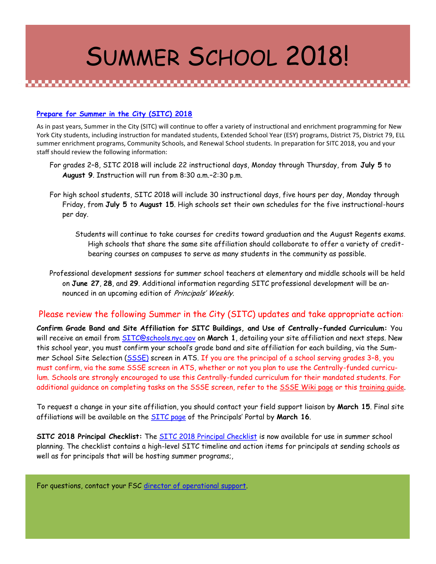# SUMMER SCHOOL 2018!

#### **Prepare for Summer in the City (SITC) 2018**

As in past years, Summer in the City (SITC) will continue to offer a variety of instructional and enrichment programming for New York City students, including instruction for mandated students, Extended School Year (ESY) programs, District 75, District 79, ELL summer enrichment programs, Community Schools, and Renewal School students. In preparation for SITC 2018, you and your staff should review the following information:

- For grades 2–8, SITC 2018 will include 22 instructional days, Monday through Thursday, from **July 5** to **August 9**. Instruction will run from 8:30 a.m.–2:30 p.m.
- For high school students, SITC 2018 will include 30 instructional days, five hours per day, Monday through Friday, from **July 5** to **August 15**. High schools set their own schedules for the five instructional-hours per day.
	- Students will continue to take courses for credits toward graduation and the August Regents exams. High schools that share the same site affiliation should collaborate to offer a variety of creditbearing courses on campuses to serve as many students in the community as possible.
- Professional development sessions for summer school teachers at elementary and middle schools will be held on **June 27**, **28**, and **29**. Additional information regarding SITC professional development will be announced in an upcoming edition of Principals' Weekly.

#### Please review the following Summer in the City (SITC) updates and take appropriate action:

**Confirm Grade Band and Site Affiliation for SITC Buildings, and Use of Centrally-funded Curriculum:** You will receive an email from [SITC@schools.nyc.gov](mailto:SITC@schools.nyc.gov) on **March 1**, detailing your site affiliation and next steps. New this school year, you must confirm your school's grade band and site affiliation for each building, via the Summer School Site Selection ([SSSE\)](https://wiki.nycenet.edu/display/ATSWiki/Summer+School+Site+Selection+-+SSSE) screen in ATS. If you are the principal of a school serving grades 3–8, you must confirm, via the same SSSE screen in ATS, whether or not you plan to use the Centrally-funded curriculum. Schools are strongly encouraged to use this Centrally-funded curriculum for their mandated students. For additional guidance on completing tasks on the SSSE screen, refer to the [SSSE Wiki page](https://wiki.nycenet.edu/display/ATSWiki/Summer+School+Site+Selection+-+SSSE) or this training quide.

To request a change in your site affiliation, you should contact your field support liaison by **March 15**. Final site affiliations will be available on the [SITC page](https://intranet.nycboe.net/DOEPortal/Principals/SchoolSupport/SchoolOperations/SummerSchool/default.htm) of the Principals' Portal by **March 16**.

**SITC 2018 Principal Checklist:** The [SITC 2018 Principal Checklist](https://docs.google.com/document/d/1i1uUR47R1u2xm5Tt_kKf74PpwDPxaDa6600eU0cjbYY/edit?usp=sharing) is now available for use in summer school planning. The checklist contains a high-level SITC timeline and action items for principals at sending schools as well as for principals that will be hosting summer programs;,

For questions, contact your FSC [director of operational support.](http://intranet.nycboe.net/SchoolSupport/Contacts/default.htm)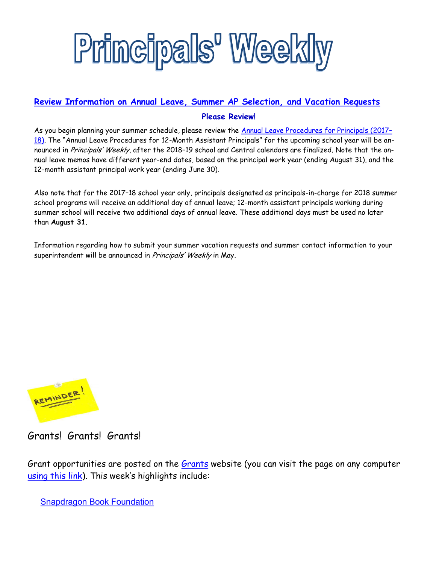

#### **Review Information on Annual Leave, Summer AP Selection, and Vacation Requests Please Review!**

As you begin planning your summer schedule, please review the [Annual Leave Procedures for Principals \(2017](http://schools.nyc.gov/NR/rdonlyres/8E9E8A35-C8B2-46AC-98ED-B596BBF6705C/0/ANNUALLEAVEFORPRINCIPALS20172018.pdf)-[18\)](http://schools.nyc.gov/NR/rdonlyres/8E9E8A35-C8B2-46AC-98ED-B596BBF6705C/0/ANNUALLEAVEFORPRINCIPALS20172018.pdf). The "Annual Leave Procedures for 12-Month Assistant Principals" for the upcoming school year will be announced in Principals' Weekly, after the 2018-19 school and Central calendars are finalized. Note that the annual leave memos have different year-end dates, based on the principal work year (ending August 31), and the 12-month assistant principal work year (ending June 30).

Also note that for the 2017–18 school year only, principals designated as principals-in-charge for 2018 summer school programs will receive an additional day of annual leave; 12-month assistant principals working during summer school will receive two additional days of annual leave. These additional days must be used no later than **August 31**.

Information regarding how to submit your summer vacation requests and summer contact information to your superintendent will be announced in Principals' Weekly in May.



Grants! Grants! Grants!

Grant opportunities are posted on the [Grants](http://intranet.nycboe.net/DOEPortal/Principals/SchoolSupport/AcademicServices/Grants/default.htm) website (you can visit the page on any computer [using this link](https://portal.nycenet.edu/DOEPortal/Principals/SchoolSupport/AcademicServices/Grants)). This week's highlights include:

[Snapdragon Book Foundation](http://intranet.nycboe.net/DOEPortal/Principals/SchoolSupport/AcademicServices/Grants/TimelyOpportunities/#book)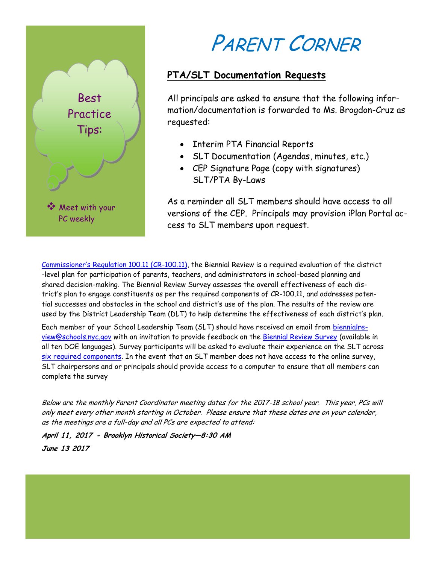

## PARENT CORNER

#### **PTA/SLT Documentation Requests**

All principals are asked to ensure that the following information/documentation is forwarded to Ms. Brogdon-Cruz as requested:

- Interim PTA Financial Reports
- SLT Documentation (Agendas, minutes, etc.)
- CEP Signature Page (copy with signatures) SLT/PTA By-Laws

As a reminder all SLT members should have access to all versions of the CEP. Principals may provision iPlan Portal access to SLT members upon request.

[Commissioner's Regulation 100.11 \(CR](http://www.p12.nysed.gov/part100/pages/10011.html)-100.11), the Biennial Review is a required evaluation of the district -level plan for participation of parents, teachers, and administrators in school-based planning and shared decision-making. The Biennial Review Survey assesses the overall effectiveness of each district's plan to engage constituents as per the required components of CR-100.11, and addresses potential successes and obstacles in the school and district's use of the plan. The results of the review are used by the District Leadership Team (DLT) to help determine the effectiveness of each district's plan.

Each member of your School Leadership Team (SLT) should have received an email from [biennialre](mailto:biennialreview@schools.nyc.gov)[view@schools.nyc.gov](mailto:biennialreview@schools.nyc.gov) with an invitation to provide feedback on the [Biennial Review Survey](http://www.surveygizmo.com/s3/4011789/7f5394034186) (available in all ten DOE languages). Survey participants will be asked to evaluate their experience on the SLT across [six required components.](http://www.p12.nysed.gov/part100/pages/10011.html#c) In the event that an SLT member does not have access to the online survey, SLT chairpersons and or principals should provide access to a computer to ensure that all members can complete the survey

Below are the monthly Parent Coordinator meeting dates for the 2017-18 school year. This year, PCs will only meet every other month starting in October. Please ensure that these dates are on your calendar, as the meetings are a full-day and all PCs are expected to attend:

**April 11, 2017 - Brooklyn Historical Society—8:30 AM June 13 2017**